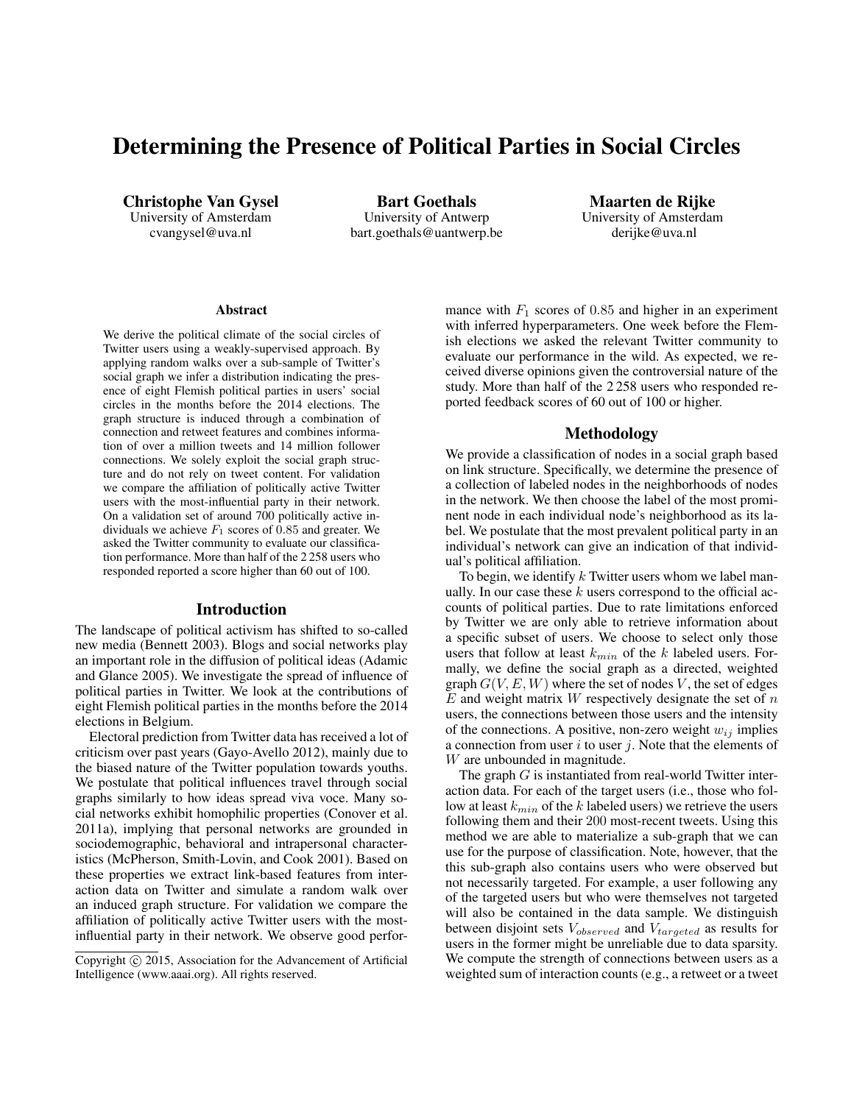# Determining the Presence of Political Parties in Social Circles

Christophe Van Gysel University of Amsterdam cvangysel@uva.nl

Bart Goethals University of Antwerp bart.goethals@uantwerp.be

Maarten de Rijke University of Amsterdam derijke@uva.nl

#### Abstract

We derive the political climate of the social circles of Twitter users using a weakly-supervised approach. By applying random walks over a sub-sample of Twitter's social graph we infer a distribution indicating the presence of eight Flemish political parties in users' social circles in the months before the 2014 elections. The graph structure is induced through a combination of connection and retweet features and combines information of over a million tweets and 14 million follower connections. We solely exploit the social graph structure and do not rely on tweet content. For validation we compare the affiliation of politically active Twitter users with the most-influential party in their network. On a validation set of around 700 politically active individuals we achieve  $F_1$  scores of 0.85 and greater. We asked the Twitter community to evaluate our classification performance. More than half of the 2 258 users who responded reported a score higher than 60 out of 100.

## Introduction

The landscape of political activism has shifted to so-called new media (Bennett 2003). Blogs and social networks play an important role in the diffusion of political ideas (Adamic and Glance 2005). We investigate the spread of influence of political parties in Twitter. We look at the contributions of eight Flemish political parties in the months before the 2014 elections in Belgium.

Electoral prediction from Twitter data has received a lot of criticism over past years (Gayo-Avello 2012), mainly due to the biased nature of the Twitter population towards youths. We postulate that political influences travel through social graphs similarly to how ideas spread viva voce. Many social networks exhibit homophilic properties (Conover et al. 2011a), implying that personal networks are grounded in sociodemographic, behavioral and intrapersonal characteristics (McPherson, Smith-Lovin, and Cook 2001). Based on these properties we extract link-based features from interaction data on Twitter and simulate a random walk over an induced graph structure. For validation we compare the affiliation of politically active Twitter users with the mostinfluential party in their network. We observe good performance with  $F_1$  scores of 0.85 and higher in an experiment with inferred hyperparameters. One week before the Flemish elections we asked the relevant Twitter community to evaluate our performance in the wild. As expected, we received diverse opinions given the controversial nature of the study. More than half of the 2 258 users who responded reported feedback scores of 60 out of 100 or higher.

## Methodology

We provide a classification of nodes in a social graph based on link structure. Specifically, we determine the presence of a collection of labeled nodes in the neighborhoods of nodes in the network. We then choose the label of the most prominent node in each individual node's neighborhood as its label. We postulate that the most prevalent political party in an individual's network can give an indication of that individual's political affiliation.

To begin, we identify  $k$  Twitter users whom we label manually. In our case these  $k$  users correspond to the official accounts of political parties. Due to rate limitations enforced by Twitter we are only able to retrieve information about a specific subset of users. We choose to select only those users that follow at least  $k_{min}$  of the k labeled users. Formally, we define the social graph as a directed, weighted graph  $G(V, E, W)$  where the set of nodes V, the set of edges  $E$  and weight matrix  $W$  respectively designate the set of  $n$ users, the connections between those users and the intensity of the connections. A positive, non-zero weight  $w_{ij}$  implies a connection from user  $i$  to user  $j$ . Note that the elements of W are unbounded in magnitude.

The graph  $G$  is instantiated from real-world Twitter interaction data. For each of the target users (i.e., those who follow at least  $k_{min}$  of the k labeled users) we retrieve the users following them and their 200 most-recent tweets. Using this method we are able to materialize a sub-graph that we can use for the purpose of classification. Note, however, that the this sub-graph also contains users who were observed but not necessarily targeted. For example, a user following any of the targeted users but who were themselves not targeted will also be contained in the data sample. We distinguish between disjoint sets  $V_{observed}$  and  $V_{targeted}$  as results for users in the former might be unreliable due to data sparsity. We compute the strength of connections between users as a weighted sum of interaction counts (e.g., a retweet or a tweet

Copyright © 2015, Association for the Advancement of Artificial Intelligence (www.aaai.org). All rights reserved.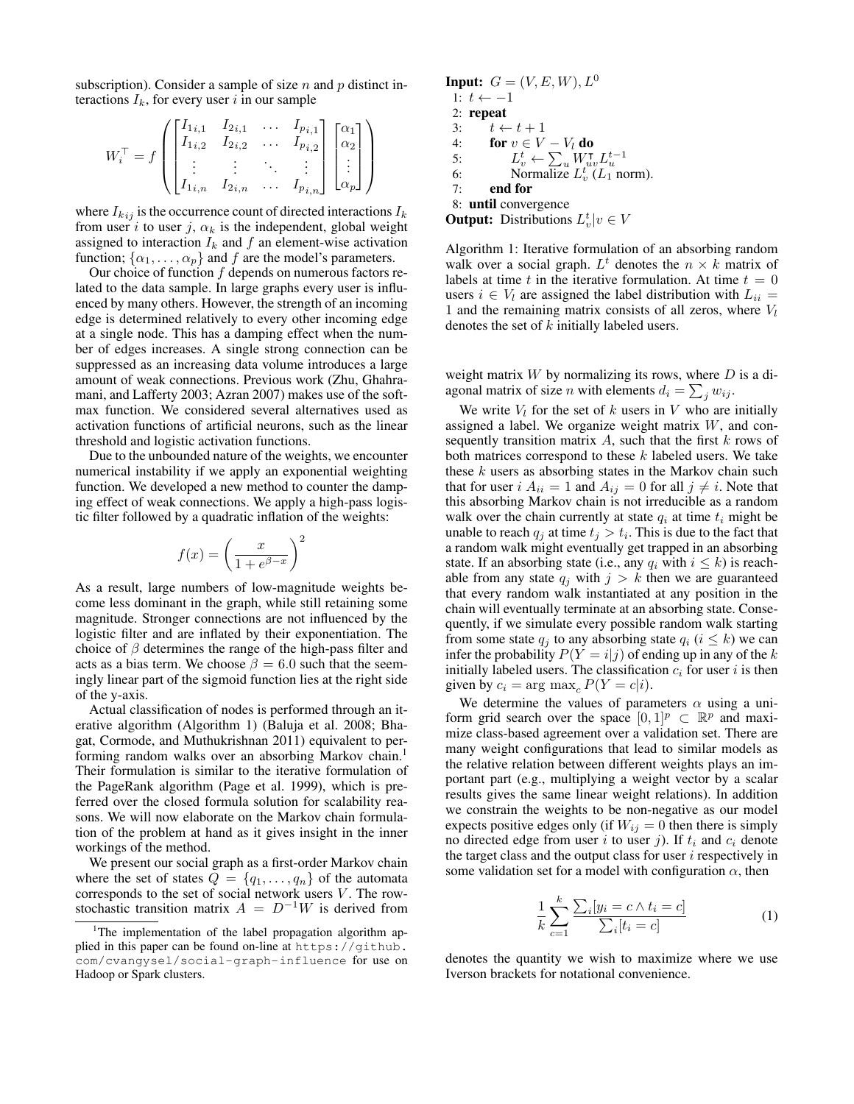subscription). Consider a sample of size  $n$  and  $p$  distinct interactions  $I_k$ , for every user i in our sample

$$
W_i^{\top} = f \begin{pmatrix} \begin{bmatrix} I_{1i,1} & I_{2i,1} & \dots & I_{p_{i,1}} \\ I_{1i,2} & I_{2i,2} & \dots & I_{p_{i,2}} \\ \vdots & \vdots & \ddots & \vdots \\ I_{1i,n} & I_{2i,n} & \dots & I_{p_{i,n}} \end{bmatrix} \begin{bmatrix} \alpha_1 \\ \alpha_2 \\ \vdots \\ \alpha_p \end{bmatrix} \end{pmatrix}
$$

where  $I_{kij}$  is the occurrence count of directed interactions  $I_k$ from user i to user j,  $\alpha_k$  is the independent, global weight assigned to interaction  $I_k$  and f an element-wise activation function;  $\{\alpha_1, \dots, \alpha_p\}$  and f are the model's parameters.

Our choice of function  $f$  depends on numerous factors related to the data sample. In large graphs every user is influenced by many others. However, the strength of an incoming edge is determined relatively to every other incoming edge at a single node. This has a damping effect when the number of edges increases. A single strong connection can be suppressed as an increasing data volume introduces a large amount of weak connections. Previous work (Zhu, Ghahramani, and Lafferty 2003; Azran 2007) makes use of the softmax function. We considered several alternatives used as activation functions of artificial neurons, such as the linear threshold and logistic activation functions.

Due to the unbounded nature of the weights, we encounter numerical instability if we apply an exponential weighting function. We developed a new method to counter the damping effect of weak connections. We apply a high-pass logistic filter followed by a quadratic inflation of the weights:

$$
f(x) = \left(\frac{x}{1 + e^{\beta - x}}\right)^2
$$

As a result, large numbers of low-magnitude weights become less dominant in the graph, while still retaining some magnitude. Stronger connections are not influenced by the logistic filter and are inflated by their exponentiation. The choice of  $\beta$  determines the range of the high-pass filter and acts as a bias term. We choose  $\beta = 6.0$  such that the seemingly linear part of the sigmoid function lies at the right side of the y-axis.

Actual classification of nodes is performed through an iterative algorithm (Algorithm 1) (Baluja et al. 2008; Bhagat, Cormode, and Muthukrishnan 2011) equivalent to performing random walks over an absorbing Markov chain.<sup>1</sup> Their formulation is similar to the iterative formulation of the PageRank algorithm (Page et al. 1999), which is preferred over the closed formula solution for scalability reasons. We will now elaborate on the Markov chain formulation of the problem at hand as it gives insight in the inner workings of the method.

We present our social graph as a first-order Markov chain where the set of states  $Q = \{q_1, \ldots, q_n\}$  of the automata corresponds to the set of social network users  $V$ . The rowstochastic transition matrix  $A = D^{-1}W$  is derived from

```
Input: G = (V, E, W), L^01: t \leftarrow -12: repeat
 3: t \leftarrow t + 14: for v \in V - V_l do<br>5: L_x^t \leftarrow \sum W_w5: L_v^t \leftarrow \sum_u W_{uv}^\mathsf{T} L_u^{t-1}<br>6: Normalize L_v^t(L_1 \text{ norm}).
 7: end for
 8: until convergence
Output: Distributions L_v^t|v \in V
```
Algorithm 1: Iterative formulation of an absorbing random walk over a social graph.  $L^t$  denotes the  $n \times k$  matrix of labels at time t in the iterative formulation. At time  $t = 0$ users  $i \in V_l$  are assigned the label distribution with  $L_{ii} =$ 1 and the remaining matrix consists of all zeros, where  $V_l$ denotes the set of k initially labeled users.

weight matrix  $W$  by normalizing its rows, where  $D$  is a diagonal matrix of size *n* with elements  $d_i = \sum_j w_{ij}$ .

We write  $V_l$  for the set of k users in V who are initially assigned a label. We organize weight matrix  $W$ , and consequently transition matrix  $A$ , such that the first  $k$  rows of both matrices correspond to these  $k$  labeled users. We take these  $k$  users as absorbing states in the Markov chain such that for user  $i A_{ii} = 1$  and  $A_{ij} = 0$  for all  $j \neq i$ . Note that this absorbing Markov chain is not irreducible as a random walk over the chain currently at state  $q_i$  at time  $t_i$  might be unable to reach  $q_j$  at time  $t_j > t_i$ . This is due to the fact that a random walk might eventually get trapped in an absorbing state. If an absorbing state (i.e., any  $q_i$  with  $i \leq k$ ) is reachable from any state  $q_i$  with  $j > k$  then we are guaranteed that every random walk instantiated at any position in the chain will eventually terminate at an absorbing state. Consequently, if we simulate every possible random walk starting from some state  $q_i$  to any absorbing state  $q_i$  ( $i \leq k$ ) we can infer the probability  $P(Y = i|j)$  of ending up in any of the k initially labeled users. The classification  $c_i$  for user i is then given by  $c_i = \arg \max_c P(Y = c|i)$ .

We determine the values of parameters  $\alpha$  using a uniform grid search over the space  $[0,1]^p \subset \mathbb{R}^p$  and maximize class-based agreement over a validation set. There are many weight configurations that lead to similar models as the relative relation between different weights plays an important part (e.g., multiplying a weight vector by a scalar results gives the same linear weight relations). In addition we constrain the weights to be non-negative as our model expects positive edges only (if  $W_{ij} = 0$  then there is simply no directed edge from user i to user j). If  $t_i$  and  $c_i$  denote the target class and the output class for user  $i$  respectively in some validation set for a model with configuration  $\alpha$ , then

$$
\frac{1}{k} \sum_{c=1}^{k} \frac{\sum_{i} [y_i = c \land t_i = c]}{\sum_{i} [t_i = c]}
$$
\n(1)

denotes the quantity we wish to maximize where we use Iverson brackets for notational convenience.

<sup>&</sup>lt;sup>1</sup>The implementation of the label propagation algorithm applied in this paper can be found on-line at https://github. com/cvangysel/social-graph-influence for use on Hadoop or Spark clusters.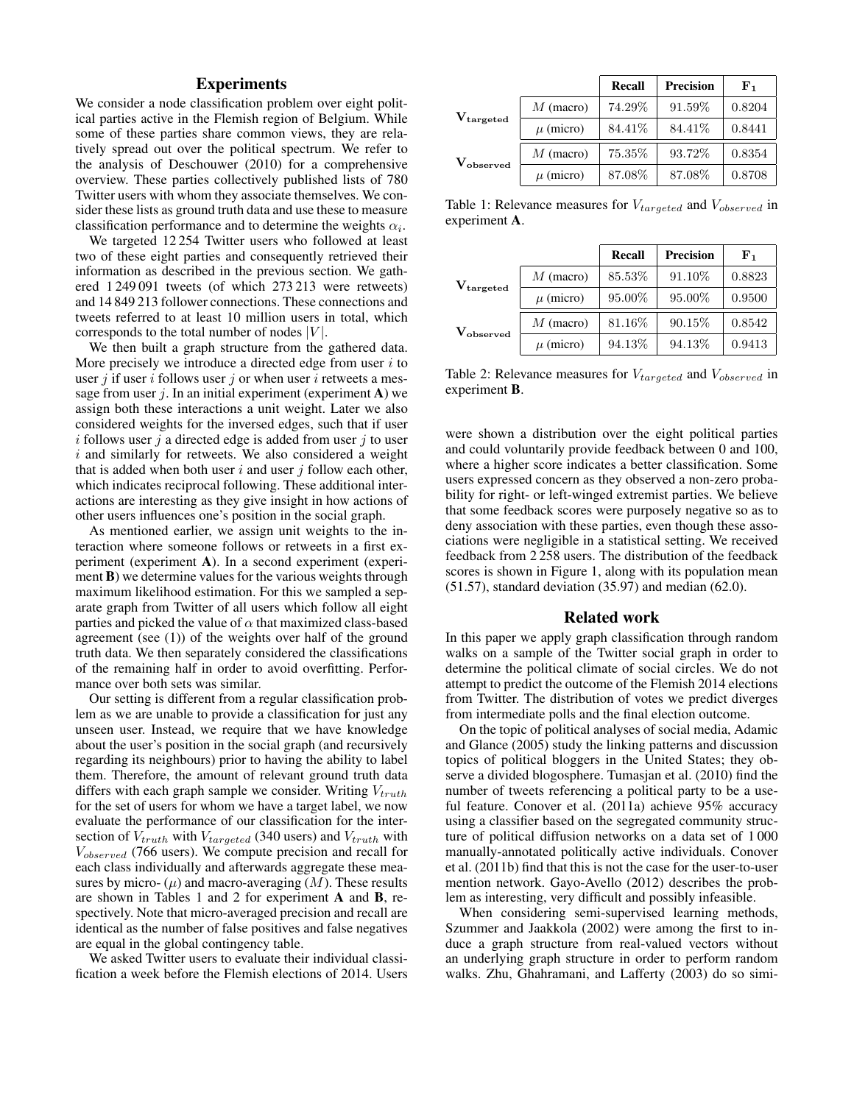## Experiments

We consider a node classification problem over eight political parties active in the Flemish region of Belgium. While some of these parties share common views, they are relatively spread out over the political spectrum. We refer to the analysis of Deschouwer (2010) for a comprehensive overview. These parties collectively published lists of 780 Twitter users with whom they associate themselves. We consider these lists as ground truth data and use these to measure classification performance and to determine the weights  $\alpha_i$ .

We targeted 12 254 Twitter users who followed at least two of these eight parties and consequently retrieved their information as described in the previous section. We gathered 1 249 091 tweets (of which 273 213 were retweets) and 14 849 213 follower connections. These connections and tweets referred to at least 10 million users in total, which corresponds to the total number of nodes  $|V|$ .

We then built a graph structure from the gathered data. More precisely we introduce a directed edge from user  $i$  to user *i* if user *i* follows user *j* or when user *i* retweets a message from user  $j$ . In an initial experiment (experiment A) we assign both these interactions a unit weight. Later we also considered weights for the inversed edges, such that if user  $i$  follows user  $j$  a directed edge is added from user  $j$  to user  $i$  and similarly for retweets. We also considered a weight that is added when both user  $i$  and user  $j$  follow each other, which indicates reciprocal following. These additional interactions are interesting as they give insight in how actions of other users influences one's position in the social graph.

As mentioned earlier, we assign unit weights to the interaction where someone follows or retweets in a first experiment (experiment A). In a second experiment (experiment **B**) we determine values for the various weights through maximum likelihood estimation. For this we sampled a separate graph from Twitter of all users which follow all eight parties and picked the value of  $\alpha$  that maximized class-based agreement (see (1)) of the weights over half of the ground truth data. We then separately considered the classifications of the remaining half in order to avoid overfitting. Performance over both sets was similar.

Our setting is different from a regular classification problem as we are unable to provide a classification for just any unseen user. Instead, we require that we have knowledge about the user's position in the social graph (and recursively regarding its neighbours) prior to having the ability to label them. Therefore, the amount of relevant ground truth data differs with each graph sample we consider. Writing  $V_{truth}$ for the set of users for whom we have a target label, we now evaluate the performance of our classification for the intersection of  $V_{truth}$  with  $V_{targeted}$  (340 users) and  $V_{truth}$  with  $V_{observed}$  (766 users). We compute precision and recall for each class individually and afterwards aggregate these measures by micro-  $(\mu)$  and macro-averaging  $(M)$ . These results are shown in Tables 1 and 2 for experiment A and B, respectively. Note that micro-averaged precision and recall are identical as the number of false positives and false negatives are equal in the global contingency table.

We asked Twitter users to evaluate their individual classification a week before the Flemish elections of 2014. Users

|                    |               | Recall  | <b>Precision</b> | ${\bf F_1}$ |
|--------------------|---------------|---------|------------------|-------------|
| $\rm V_{targeted}$ | $M$ (macro)   | 74.29%  | 91.59%           | 0.8204      |
|                    | $\mu$ (micro) | 84.41\% | 84.41\%          | 0.8441      |
| $V_{observed}$     | $M$ (macro)   | 75.35%  | 93.72%           | 0.8354      |
|                    | $\mu$ (micro) | 87.08%  | 87.08%           | 0.8708      |

Table 1: Relevance measures for  $V_{targeted}$  and  $V_{observed}$  in experiment A.

|                    |               | Recall  | <b>Precision</b> | ${\bf F}_{1}$ |
|--------------------|---------------|---------|------------------|---------------|
| $\rm V_{targeted}$ | $M$ (macro)   | 85.53%  | 91.10%           | 0.8823        |
|                    | $\mu$ (micro) | 95.00%  | 95.00%           | 0.9500        |
| $V_{observed}$     | $M$ (macro)   | 81.16\% | 90.15%           | 0.8542        |
|                    | $\mu$ (micro) | 94.13%  | 94.13%           | 0.9413        |

Table 2: Relevance measures for  $V_{targeted}$  and  $V_{observed}$  in experiment B.

were shown a distribution over the eight political parties and could voluntarily provide feedback between 0 and 100, where a higher score indicates a better classification. Some users expressed concern as they observed a non-zero probability for right- or left-winged extremist parties. We believe that some feedback scores were purposely negative so as to deny association with these parties, even though these associations were negligible in a statistical setting. We received feedback from 2 258 users. The distribution of the feedback scores is shown in Figure 1, along with its population mean (51.57), standard deviation (35.97) and median (62.0).

## Related work

In this paper we apply graph classification through random walks on a sample of the Twitter social graph in order to determine the political climate of social circles. We do not attempt to predict the outcome of the Flemish 2014 elections from Twitter. The distribution of votes we predict diverges from intermediate polls and the final election outcome.

On the topic of political analyses of social media, Adamic and Glance (2005) study the linking patterns and discussion topics of political bloggers in the United States; they observe a divided blogosphere. Tumasjan et al. (2010) find the number of tweets referencing a political party to be a useful feature. Conover et al. (2011a) achieve 95% accuracy using a classifier based on the segregated community structure of political diffusion networks on a data set of 1 000 manually-annotated politically active individuals. Conover et al. (2011b) find that this is not the case for the user-to-user mention network. Gayo-Avello (2012) describes the problem as interesting, very difficult and possibly infeasible.

When considering semi-supervised learning methods, Szummer and Jaakkola (2002) were among the first to induce a graph structure from real-valued vectors without an underlying graph structure in order to perform random walks. Zhu, Ghahramani, and Lafferty (2003) do so simi-